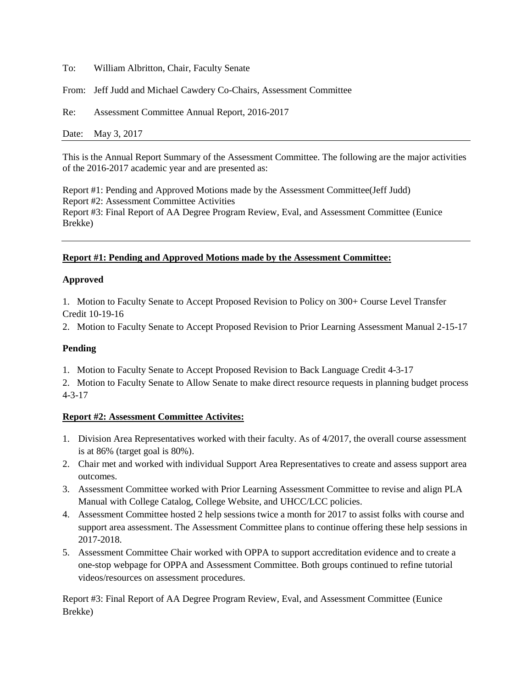To: William Albritton, Chair, Faculty Senate

From: Jeff Judd and Michael Cawdery Co-Chairs, Assessment Committee

Re: Assessment Committee Annual Report, 2016-2017

Date: May 3, 2017

This is the Annual Report Summary of the Assessment Committee. The following are the major activities of the 2016-2017 academic year and are presented as:

Report #1: Pending and Approved Motions made by the Assessment Committee(Jeff Judd) Report #2: Assessment Committee Activities Report #3: Final Report of AA Degree Program Review, Eval, and Assessment Committee (Eunice Brekke)

# **Report #1: Pending and Approved Motions made by the Assessment Committee:**

## **Approved**

1. Motion to Faculty Senate to Accept Proposed Revision to Policy on 300+ Course Level Transfer Credit 10-19-16

2. Motion to Faculty Senate to Accept Proposed Revision to Prior Learning Assessment Manual 2-15-17

## **Pending**

1. Motion to Faculty Senate to Accept Proposed Revision to Back Language Credit 4-3-17

2. Motion to Faculty Senate to Allow Senate to make direct resource requests in planning budget process 4-3-17

## **Report #2: Assessment Committee Activites:**

- 1. Division Area Representatives worked with their faculty. As of 4/2017, the overall course assessment is at 86% (target goal is 80%).
- 2. Chair met and worked with individual Support Area Representatives to create and assess support area outcomes.
- 3. Assessment Committee worked with Prior Learning Assessment Committee to revise and align PLA Manual with College Catalog, College Website, and UHCC/LCC policies.
- 4. Assessment Committee hosted 2 help sessions twice a month for 2017 to assist folks with course and support area assessment. The Assessment Committee plans to continue offering these help sessions in 2017-2018.
- 5. Assessment Committee Chair worked with OPPA to support accreditation evidence and to create a one-stop webpage for OPPA and Assessment Committee. Both groups continued to refine tutorial videos/resources on assessment procedures.

Report #3: Final Report of AA Degree Program Review, Eval, and Assessment Committee (Eunice Brekke)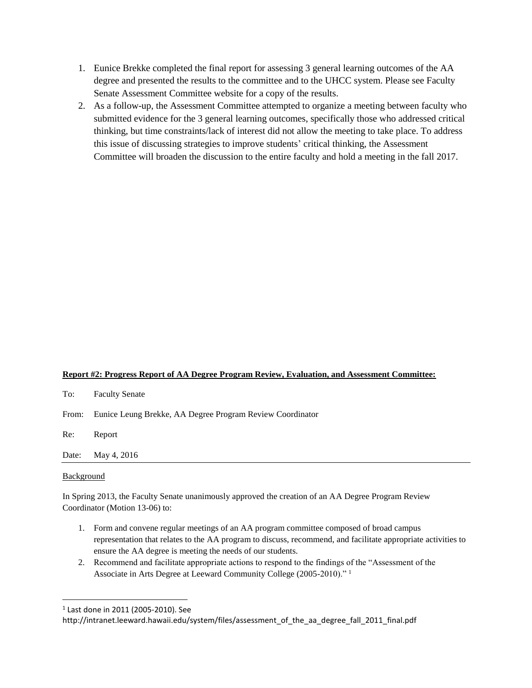- 1. Eunice Brekke completed the final report for assessing 3 general learning outcomes of the AA degree and presented the results to the committee and to the UHCC system. Please see Faculty Senate Assessment Committee website for a copy of the results.
- 2. As a follow-up, the Assessment Committee attempted to organize a meeting between faculty who submitted evidence for the 3 general learning outcomes, specifically those who addressed critical thinking, but time constraints/lack of interest did not allow the meeting to take place. To address this issue of discussing strategies to improve students' critical thinking, the Assessment Committee will broaden the discussion to the entire faculty and hold a meeting in the fall 2017.

### **Report #2: Progress Report of AA Degree Program Review, Evaluation, and Assessment Committee:**

| To:   | <b>Faculty Senate</b>                                           |
|-------|-----------------------------------------------------------------|
|       | From: Eunice Leung Brekke, AA Degree Program Review Coordinator |
| Re:   | Report                                                          |
| Date: | May 4, 2016                                                     |
|       |                                                                 |

### Background

l

In Spring 2013, the Faculty Senate unanimously approved the creation of an AA Degree Program Review Coordinator (Motion 13-06) to:

- 1. Form and convene regular meetings of an AA program committee composed of broad campus representation that relates to the AA program to discuss, recommend, and facilitate appropriate activities to ensure the AA degree is meeting the needs of our students.
- 2. Recommend and facilitate appropriate actions to respond to the findings of the "Assessment of the Associate in Arts Degree at Leeward Community College (2005-2010)." <sup>1</sup>

<sup>1</sup> Last done in 2011 (2005-2010). See

http://intranet.leeward.hawaii.edu/system/files/assessment of the aa degree fall 2011 final.pdf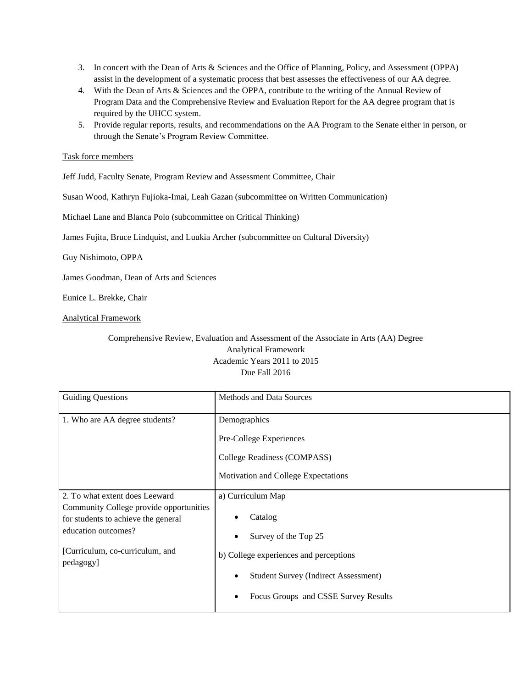- 3. In concert with the Dean of Arts & Sciences and the Office of Planning, Policy, and Assessment (OPPA) assist in the development of a systematic process that best assesses the effectiveness of our AA degree.
- 4. With the Dean of Arts & Sciences and the OPPA, contribute to the writing of the Annual Review of Program Data and the Comprehensive Review and Evaluation Report for the AA degree program that is required by the UHCC system.
- 5. Provide regular reports, results, and recommendations on the AA Program to the Senate either in person, or through the Senate's Program Review Committee.

### Task force members

Jeff Judd, Faculty Senate, Program Review and Assessment Committee, Chair

Susan Wood, Kathryn Fujioka-Imai, Leah Gazan (subcommittee on Written Communication)

Michael Lane and Blanca Polo (subcommittee on Critical Thinking)

James Fujita, Bruce Lindquist, and Luukia Archer (subcommittee on Cultural Diversity)

Guy Nishimoto, OPPA

James Goodman, Dean of Arts and Sciences

Eunice L. Brekke, Chair

#### Analytical Framework

Comprehensive Review, Evaluation and Assessment of the Associate in Arts (AA) Degree Analytical Framework Academic Years 2011 to 2015 Due Fall 2016

| <b>Guiding Questions</b>                                                                                                                                                                | Methods and Data Sources                                                                                                                                                                                                     |
|-----------------------------------------------------------------------------------------------------------------------------------------------------------------------------------------|------------------------------------------------------------------------------------------------------------------------------------------------------------------------------------------------------------------------------|
| 1. Who are AA degree students?                                                                                                                                                          | Demographics<br>Pre-College Experiences<br>College Readiness (COMPASS)<br>Motivation and College Expectations                                                                                                                |
| 2. To what extent does Leeward<br>Community College provide opportunities<br>for students to achieve the general<br>education outcomes?<br>[Curriculum, co-curriculum, and<br>pedagogy] | a) Curriculum Map<br>Catalog<br>Survey of the Top 25<br>$\bullet$<br>b) College experiences and perceptions<br><b>Student Survey (Indirect Assessment)</b><br>$\bullet$<br>Focus Groups and CSSE Survey Results<br>$\bullet$ |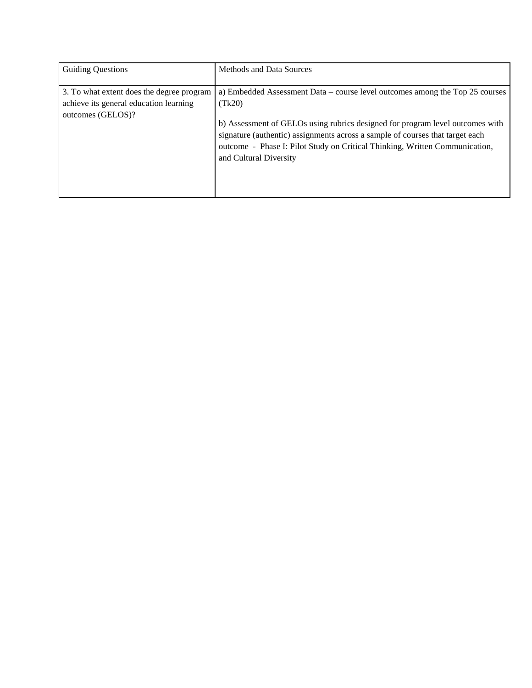| <b>Guiding Questions</b>                                                                                 | <b>Methods and Data Sources</b>                                                                                                                                                                                                                                                                                                                                   |
|----------------------------------------------------------------------------------------------------------|-------------------------------------------------------------------------------------------------------------------------------------------------------------------------------------------------------------------------------------------------------------------------------------------------------------------------------------------------------------------|
| 3. To what extent does the degree program<br>achieve its general education learning<br>outcomes (GELOS)? | a) Embedded Assessment Data – course level outcomes among the Top 25 courses<br>(Tk20)<br>b) Assessment of GELOs using rubrics designed for program level outcomes with<br>signature (authentic) assignments across a sample of courses that target each<br>outcome - Phase I: Pilot Study on Critical Thinking, Written Communication,<br>and Cultural Diversity |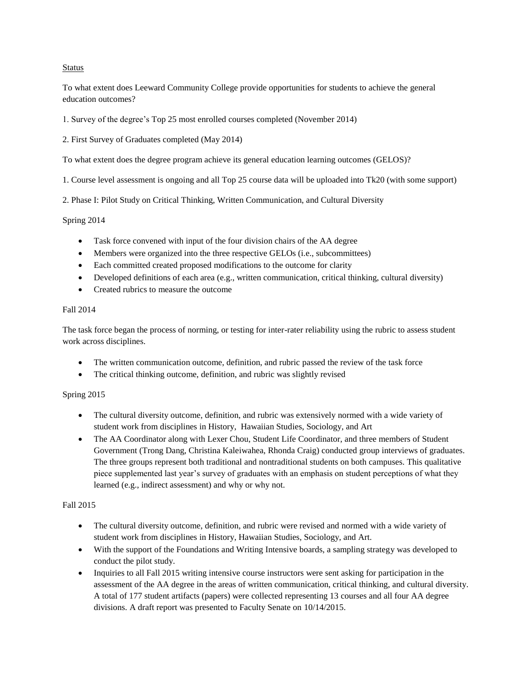### Status

To what extent does Leeward Community College provide opportunities for students to achieve the general education outcomes?

1. Survey of the degree's Top 25 most enrolled courses completed (November 2014)

2. First Survey of Graduates completed (May 2014)

To what extent does the degree program achieve its general education learning outcomes (GELOS)?

1. Course level assessment is ongoing and all Top 25 course data will be uploaded into Tk20 (with some support)

2. Phase I: Pilot Study on Critical Thinking, Written Communication, and Cultural Diversity

#### Spring 2014

- Task force convened with input of the four division chairs of the AA degree
- Members were organized into the three respective GELOs (i.e., subcommittees)
- Each committed created proposed modifications to the outcome for clarity
- Developed definitions of each area (e.g., written communication, critical thinking, cultural diversity)
- Created rubrics to measure the outcome

#### Fall 2014

The task force began the process of norming, or testing for inter-rater reliability using the rubric to assess student work across disciplines.

- The written communication outcome, definition, and rubric passed the review of the task force
- The critical thinking outcome, definition, and rubric was slightly revised

#### Spring 2015

- The cultural diversity outcome, definition, and rubric was extensively normed with a wide variety of student work from disciplines in History, Hawaiian Studies, Sociology, and Art
- The AA Coordinator along with Lexer Chou, Student Life Coordinator, and three members of Student Government (Trong Dang, Christina Kaleiwahea, Rhonda Craig) conducted group interviews of graduates. The three groups represent both traditional and nontraditional students on both campuses. This qualitative piece supplemented last year's survey of graduates with an emphasis on student perceptions of what they learned (e.g., indirect assessment) and why or why not.

#### Fall 2015

- The cultural diversity outcome, definition, and rubric were revised and normed with a wide variety of student work from disciplines in History, Hawaiian Studies, Sociology, and Art.
- With the support of the Foundations and Writing Intensive boards, a sampling strategy was developed to conduct the pilot study.
- Inquiries to all Fall 2015 writing intensive course instructors were sent asking for participation in the assessment of the AA degree in the areas of written communication, critical thinking, and cultural diversity. A total of 177 student artifacts (papers) were collected representing 13 courses and all four AA degree divisions. A draft report was presented to Faculty Senate on 10/14/2015.